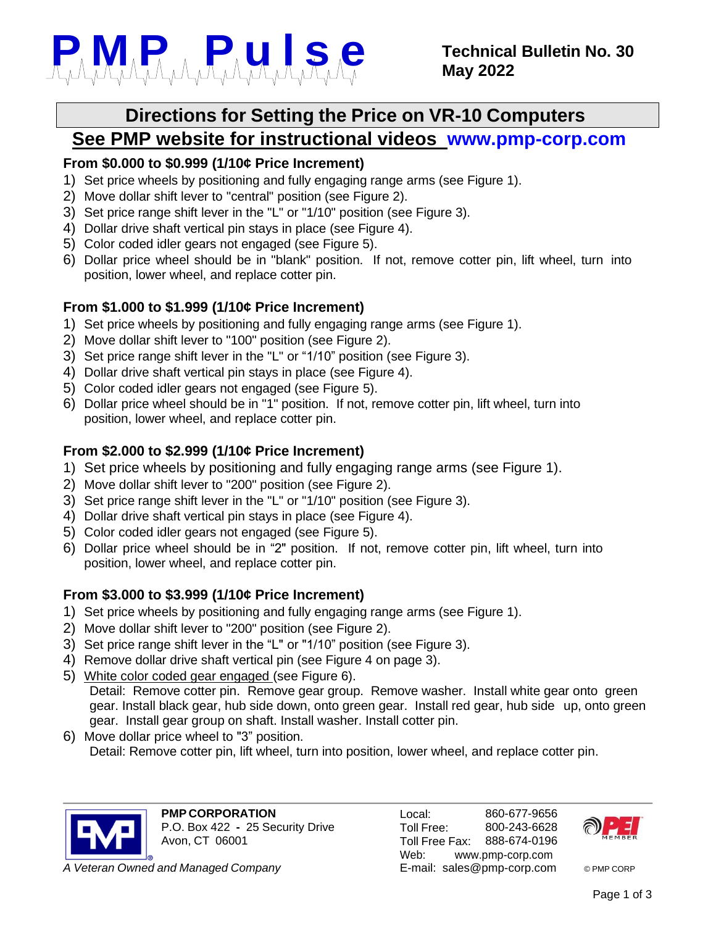

# **Directions for Setting the Price on VR-10 Computers**

## **See PMP website for instructional videos [www.pmp-corp.com](http://www.pmp-corp.com/)**

#### **From \$0.000 to \$0.999 (1/10¢ Price Increment)**

- 1) Set price wheels by positioning and fully engaging range arms (see Figure 1).
- 2) Move dollar shift lever to "central" position (see Figure 2).
- 3) Set price range shift lever in the "L" or "1/10" position (see Figure 3).
- 4) Dollar drive shaft vertical pin stays in place (see Figure 4).
- 5) Color coded idler gears not engaged (see Figure 5).
- 6) Dollar price wheel should be in "blank" position. If not, remove cotter pin, lift wheel, turn into position, lower wheel, and replace cotter pin.

#### **From \$1.000 to \$1.999 (1/10¢ Price Increment)**

- 1) Set price wheels by positioning and fully engaging range arms (see Figure 1).
- 2) Move dollar shift lever to "100" position (see Figure 2).
- 3) Set price range shift lever in the "L" or "1/10" position (see Figure 3).
- 4) Dollar drive shaft vertical pin stays in place (see Figure 4).
- 5) Color coded idler gears not engaged (see Figure 5).
- 6) Dollar price wheel should be in "1" position. If not, remove cotter pin, lift wheel, turn into position, lower wheel, and replace cotter pin.

#### **From \$2.000 to \$2.999 (1/10¢ Price Increment)**

- 1) Set price wheels by positioning and fully engaging range arms (see Figure 1).
- 2) Move dollar shift lever to "200" position (see Figure 2).
- 3) Set price range shift lever in the "L" or "1/10" position (see Figure 3).
- 4) Dollar drive shaft vertical pin stays in place (see Figure 4).
- 5) Color coded idler gears not engaged (see Figure 5).
- 6) Dollar price wheel should be in "2" position. If not, remove cotter pin, lift wheel, turn into position, lower wheel, and replace cotter pin.

### **From \$3.000 to \$3.999 (1/10¢ Price Increment)**

- 1) Set price wheels by positioning and fully engaging range arms (see Figure 1).
- 2) Move dollar shift lever to "200" position (see Figure 2).
- 3) Set price range shift lever in the "L" or "1/10" position (see Figure 3).
- 4) Remove dollar drive shaft vertical pin (see Figure 4 on page 3).
- 5) White color coded gear engaged (see Figure 6). Detail: Remove cotter pin. Remove gear group. Remove washer. Install white gear onto green gear. Install black gear, hub side down, onto green gear. Install red gear, hub side up, onto green gear. Install gear group on shaft. Install washer. Install cotter pin.
- 6) Move dollar price wheel to "3" position. Detail: Remove cotter pin, lift wheel, turn into position, lower wheel, and replace cotter pin.



**PMP CORPORATION** P.O. Box 422 **-** 25 Security Drive Avon, CT 06001

**A** *Veteran Owned and Managed Company* **E-mail: [sales@pmp-corp.com](mailto:sales@pmp-corp.com) © PMP CORP** 

Local: Toll Free: Toll Free Fax: 860-677-9656 800-243-6628 888-674-0196 Web: [www.pmp-corp.com](http://www.pmp-corp.com/)

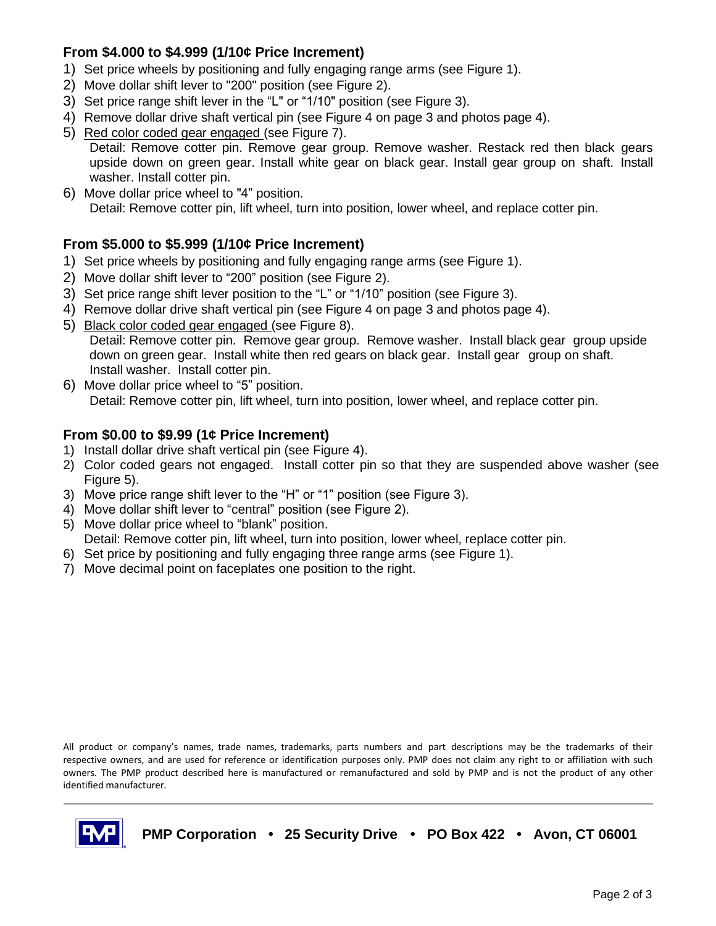#### **From \$4.000 to \$4.999 (1/10¢ Price Increment)**

- 1) Set price wheels by positioning and fully engaging range arms (see Figure 1).
- 2) Move dollar shift lever to "200" position (see Figure 2).
- 3) Set price range shift lever in the "L" or "1/10" position (see Figure 3).
- 4) Remove dollar drive shaft vertical pin (see Figure 4 on page 3 and photos page 4).
- 5) Red color coded gear engaged (see Figure 7). Detail: Remove cotter pin. Remove gear group. Remove washer. Restack red then black gears upside down on green gear. Install white gear on black gear. Install gear group on shaft. Install washer. Install cotter pin.
- 6) Move dollar price wheel to "4" position. Detail: Remove cotter pin, lift wheel, turn into position, lower wheel, and replace cotter pin.

#### **From \$5.000 to \$5.999 (1/10¢ Price Increment)**

- 1) Set price wheels by positioning and fully engaging range arms (see Figure 1).
- 2) Move dollar shift lever to "200" position (see Figure 2).
- 3) Set price range shift lever position to the "L" or "1/10" position (see Figure 3).
- 4) Remove dollar drive shaft vertical pin (see Figure 4 on page 3 and photos page 4).
- 5) Black color coded gear engaged (see Figure 8). Detail: Remove cotter pin. Remove gear group. Remove washer. Install black gear group upside down on green gear. Install white then red gears on black gear. Install gear group on shaft. Install washer. Install cotter pin.
- 6) Move dollar price wheel to "5" position. Detail: Remove cotter pin, lift wheel, turn into position, lower wheel, and replace cotter pin.

#### **From \$0.00 to \$9.99 (1¢ Price Increment)**

- 1) Install dollar drive shaft vertical pin (see Figure 4).
- 2) Color coded gears not engaged. Install cotter pin so that they are suspended above washer (see Figure 5).
- 3) Move price range shift lever to the "H" or "1" position (see Figure 3).
- 4) Move dollar shift lever to "central" position (see Figure 2).
- 5) Move dollar price wheel to "blank" position. Detail: Remove cotter pin, lift wheel, turn into position, lower wheel, replace cotter pin.
- 6) Set price by positioning and fully engaging three range arms (see Figure 1).
- 7) Move decimal point on faceplates one position to the right.

All product or company's names, trade names, trademarks, parts numbers and part descriptions may be the trademarks of their respective owners, and are used for reference or identification purposes only. PMP does not claim any right to or affiliation with such owners. The PMP product described here is manufactured or remanufactured and sold by PMP and is not the product of any other identified manufacturer.